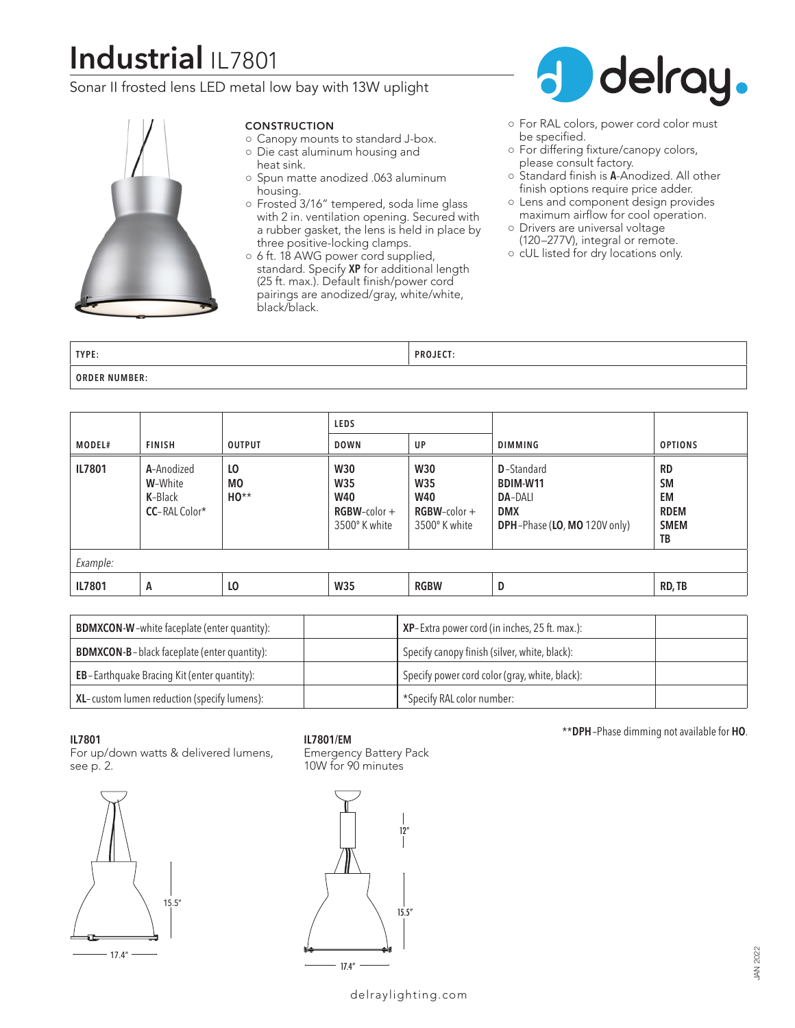# **Industrial** IL7801

### Sonar II frosted lens LED metal low bay with 13W uplight



#### **CONSTRUCTION**

- Canopy mounts to standard J-box. ○ Die cast aluminum housing and
- heat sink. ○ Spun matte anodized .063 aluminum
- housing. ○ Frosted 3/16" tempered, soda lime glass with 2 in. ventilation opening. Secured with a rubber gasket, the lens is held in place by
- three positive-locking clamps. ○ 6 ft. 18 AWG power cord supplied, standard. Specify **XP** for additional length (25 ft. max.). Default finish/power cord

pairings are anodized/gray, white/white, black/black.



- For RAL colors, power cord color must be specified.
- For differing fixture/canopy colors, please consult factory.
- Standard finish is **A**-Anodized. All other finish options require price adder.
- Lens and component design provides maximum airflow for cool operation.
- Drivers are universal voltage (120–277V), integral or remote.
- cUL listed for dry locations only.

| TYPE:                | <b>PROJECT</b> |
|----------------------|----------------|
| <b>ORDER NUMBER:</b> |                |

|          |                                                           |                                | <b>LEDS</b>                                                                |                                                                     |                                                                                                              |                                                                  |  |
|----------|-----------------------------------------------------------|--------------------------------|----------------------------------------------------------------------------|---------------------------------------------------------------------|--------------------------------------------------------------------------------------------------------------|------------------------------------------------------------------|--|
| MODEL#   | <b>FINISH</b>                                             | <b>OUTPUT</b>                  | <b>DOWN</b>                                                                | UP                                                                  | <b>DIMMING</b>                                                                                               | <b>OPTIONS</b>                                                   |  |
| IL7801   | A-Anodized<br>W-White<br>K-Black<br><b>CC</b> -RAL Color* | L <sub>0</sub><br>M0<br>$HO**$ | <b>W30</b><br><b>W35</b><br><b>W40</b><br>$RGBW$ -color +<br>3500° K white | <b>W30</b><br>W35<br><b>W40</b><br>$RGBW$ -color +<br>3500° K white | <b>D</b> -Standard<br><b>BDIM-W11</b><br><b>DA-DALI</b><br><b>DMX</b><br><b>DPH-Phase (LO, MO 120V only)</b> | <b>RD</b><br><b>SM</b><br>EM<br><b>RDEM</b><br><b>SMEM</b><br>TB |  |
| Example: |                                                           |                                |                                                                            |                                                                     |                                                                                                              |                                                                  |  |
| IL7801   | A                                                         | L <sub>0</sub>                 | W35                                                                        | <b>RGBW</b>                                                         | D                                                                                                            | RD, TB                                                           |  |

| <b>BDMXCON-W-white faceplate (enter quantity):</b>  | XP-Extra power cord (in inches, 25 ft. max.):  |  |
|-----------------------------------------------------|------------------------------------------------|--|
| <b>BDMXCON-B-black faceplate (enter quantity):</b>  | Specify canopy finish (silver, white, black):  |  |
| <b>EB</b> -Earthquake Bracing Kit (enter quantity): | Specify power cord color (gray, white, black): |  |
| XL-custom lumen reduction (specify lumens):         | *Specify RAL color number:                     |  |

#### **IL7801**

For up/down watts & delivered lumens, see p. 2.



**IL7801/EM**

Emergency Battery Pack 10W for 90 minutes



\*\***DPH**–Phase dimming not available for **HO**.